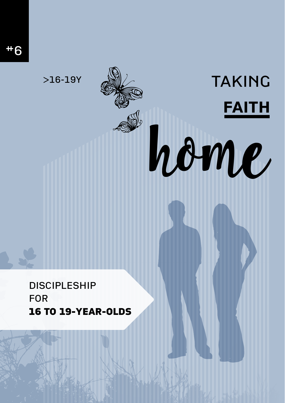>16-19Y AV TAKING

 $\int$ 

**FAITH**

home

DISCIPLESHIP FOR 16 TO 19-YEAR-OLDS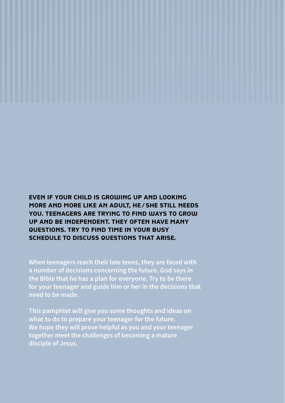**EVEN IF YOUR CHILD IS GROWING UP AND LOOKING MORE AND MORE LIKE AN ADULT, HE/SHE STILL NEEDS**  YOU. TEENAGERS ARE TRYING TO FIND WAYS TO GROW **UP AND BE INDEPENDENT. THEY OFTEN HAVE MANY QUESTIONS. TRY TO FIND TIME IN YOUR BUSY SCHEDULE TO DISCUSS QUESTIONS THAT ARISE.** 

**When teenagers reach their late teens, they are faced with a number of decisions concerning the future. God says in the Bible that he has a plan for everyone. Try to be there for your teenager and guide him or her in the decisions that need to be made.** 

**This pamphlet will give you some thoughts and ideas on what to do to prepare your teenager for the future. We hope they will prove helpful as you and your teenager together meet the challenges of becoming a mature disciple of Jesus.**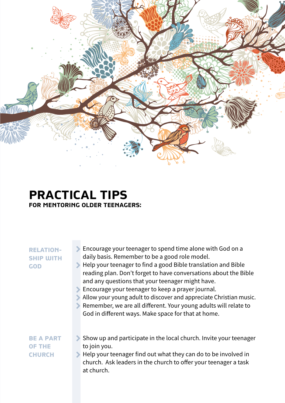

## **PRACTICAL TIPS FOR MENTORING OLDER TEENAGERS:**

## **RELATION-SHIP WITH GOD**

- Encourage your teenager to spend time alone with God on a daily basis. Remember to be a good role model.
- Help your teenager to find a good Bible translation and Bible reading plan. Don't forget to have conversations about the Bible and any questions that your teenager might have.
- Encourage your teenager to keep a prayer journal.
- Allow your young adult to discover and appreciate Christian music.
- Remember, we are all different. Your young adults will relate to God in different ways. Make space for that at home.

## **BE A PART OF THE CHURCH**

- $\blacktriangleright$  Show up and participate in the local church. Invite your teenager to join you.
- $\blacktriangleright$  Help your teenager find out what they can do to be involved in church. Ask leaders in the church to offer your teenager a task at church.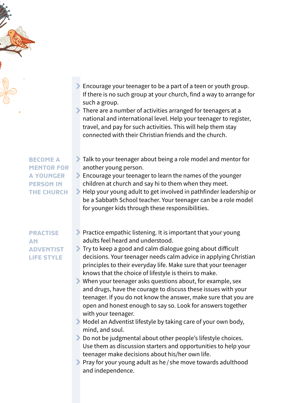

There are a number of activities arranged for teenagers at a national and international level. Help your teenager to register, travel, and pay for such activities. This will help them stay connected with their Christian friends and the church.

**BECOME A MENTOR FOR A YOUNGER PERSON IN THE CHURCH**

- Talk to your teenager about being a role model and mentor for another young person.
- Encourage your teenager to learn the names of the younger children at church and say hi to them when they meet.
- Help your young adult to get involved in pathfinder leadership or be a Sabbath School teacher. Your teenager can be a role model for younger kids through these responsibilities.

## **PRACTISE AN ADVENTIST LIFE STYLE**

- Practice empathic listening. It is important that your young adults feel heard and understood.
- Try to keep a good and calm dialogue going about difficult decisions. Your teenager needs calm advice in applying Christian principles to their everyday life. Make sure that your teenager knows that the choice of lifestyle is theirs to make.
- When your teenager asks questions about, for example, sex and drugs, have the courage to discuss these issues with your teenager. If you do not know the answer, make sure that you are open and honest enough to say so. Look for answers together with your teenager.
- Model an Adventist lifestyle by taking care of your own body, mind, and soul.
- Do not be judgmental about other people's lifestyle choices. Use them as discussion starters and opportunities to help your teenager make decisions about his/her own life.
- Pray for your young adult as he / she move towards adulthood and independence.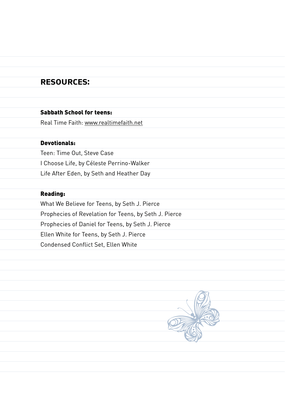## **RESOURCES:**

### Sabbath School for teens:

Real Time Faith: www.realtimefaith.net

## Devotionals:

Teen: Time Out, Steve Case I Choose Life, by Céleste Perrino-Walker Life After Eden, by Seth and Heather Day

#### Reading:

What We Believe for Teens, by Seth J. Pierce Prophecies of Revelation for Teens, by Seth J. Pierce Prophecies of Daniel for Teens, by Seth J. Pierce Ellen White for Teens, by Seth J. Pierce Condensed Conflict Set, Ellen White